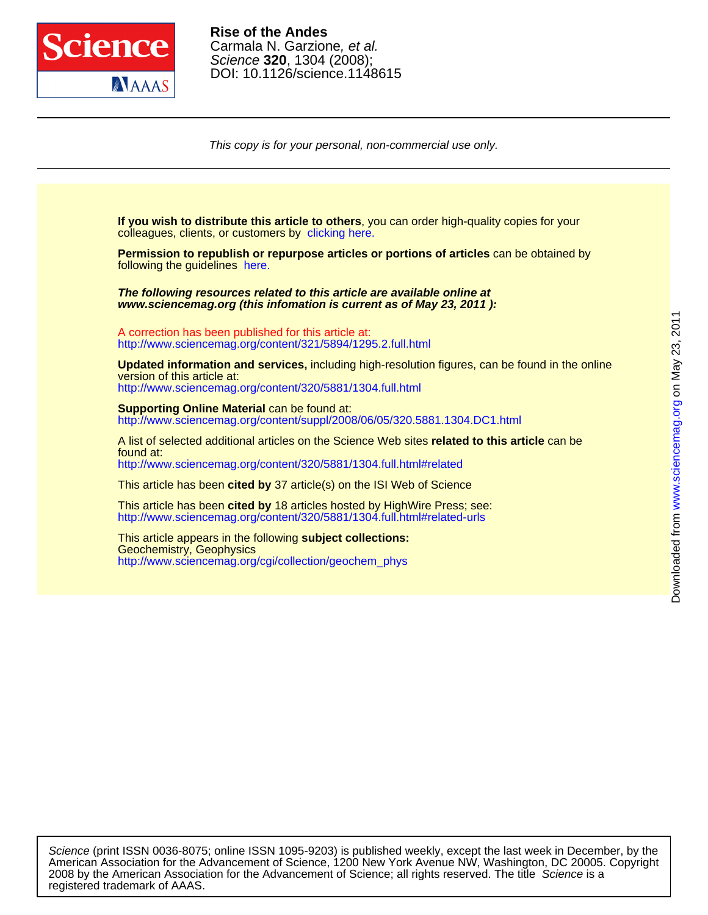

DOI: 10.1126/science.1148615 Science **320**, 1304 (2008); Carmala N. Garzione, et al. **Rise of the Andes**

This copy is for your personal, non-commercial use only.

colleagues, clients, or customers by [clicking here.](http://www.sciencemag.org/about/permissions.dtl) **If you wish to distribute this article to others**, you can order high-quality copies for your

following the guidelines [here.](http://www.sciencemag.org/about/permissions.dtl) **Permission to republish or repurpose articles or portions of articles** can be obtained by

**www.sciencemag.org (this infomation is current as of May 23, 2011 ): The following resources related to this article are available online at**

<http://www.sciencemag.org/content/321/5894/1295.2.full.html> A correction has been published for this article at:

<http://www.sciencemag.org/content/320/5881/1304.full.html> version of this article at: **Updated information and services,** including high-resolution figures, can be found in the online

http://www.sciencemag.org/content/suppl/2008/06/05/320.5881.1304.DC1.html **Supporting Online Material** can be found at:

<http://www.sciencemag.org/content/320/5881/1304.full.html#related> found at: A list of selected additional articles on the Science Web sites **related to this article** can be

This article has been **cited by** 37 article(s) on the ISI Web of Science

<http://www.sciencemag.org/content/320/5881/1304.full.html#related-urls> This article has been **cited by** 18 articles hosted by HighWire Press; see:

[http://www.sciencemag.org/cgi/collection/geochem\\_phys](http://www.sciencemag.org/cgi/collection/geochem_phys) Geochemistry, Geophysics This article appears in the following **subject collections:**

registered trademark of AAAS. 2008 by the American Association for the Advancement of Science; all rights reserved. The title Science is a American Association for the Advancement of Science, 1200 New York Avenue NW, Washington, DC 20005. Copyright Science (print ISSN 0036-8075; online ISSN 1095-9203) is published weekly, except the last week in December, by the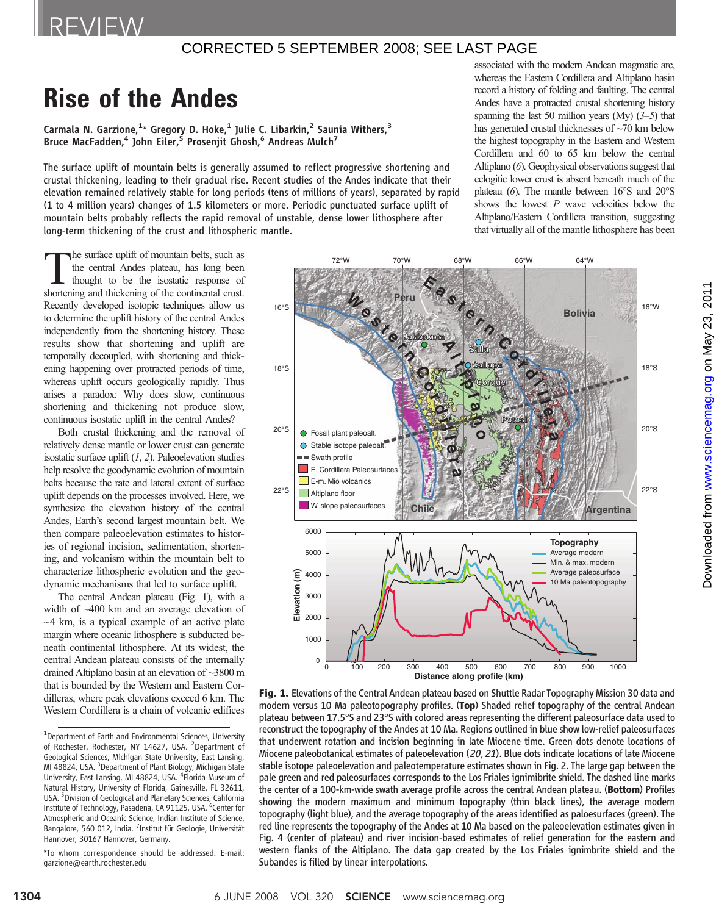# CORRECTED 5 SEPTEMBER 2008; SEE LAST PAGE

# Rise of the Andes

Carmala N. Garzione, $^{1*}$  Gregory D. Hoke, $^{1}$  Julie C. Libarkin, $^{2}$  Saunia Withers, $^{3}$ Bruce MacFadden,<sup>4</sup> John Eiler,<sup>5</sup> Prosenjit Ghosh,<sup>6</sup> Andreas Mulch<sup>7</sup>

The surface uplift of mountain belts is generally assumed to reflect progressive shortening and crustal thickening, leading to their gradual rise. Recent studies of the Andes indicate that their elevation remained relatively stable for long periods (tens of millions of years), separated by rapid (1 to 4 million years) changes of 1.5 kilometers or more. Periodic punctuated surface uplift of mountain belts probably reflects the rapid removal of unstable, dense lower lithosphere after long-term thickening of the crust and lithospheric mantle.

associated with the modern Andean magmatic arc, whereas the Eastern Cordillera and Altiplano basin record a history of folding and faulting. The central Andes have a protracted crustal shortening history spanning the last 50 million years (My)  $(3-5)$  that has generated crustal thicknesses of  $\sim$ 70 km below the highest topography in the Eastern and Western Cordillera and 60 to 65 km below the central Altiplano (6). Geophysical observations suggest that eclogitic lower crust is absent beneath much of the plateau (6). The mantle between 16°S and 20°S shows the lowest  $P$  wave velocities below the Altiplano/Eastern Cordillera transition, suggesting that virtually all of the mantle lithosphere has been

The surface uplift of mountain belts, such as the central Andes plateau, has long been thought to be the isostatic response of shortening and thickening of the continental crust. Recently developed isotopic techniques allow us to determine the uplift history of the central Andes independently from the shortening history. These results show that shortening and uplift are temporally decoupled, with shortening and thickening happening over protracted periods of time, whereas uplift occurs geologically rapidly. Thus arises a paradox: Why does slow, continuous shortening and thickening not produce slow, continuous isostatic uplift in the central Andes?

Both crustal thickening and the removal of relatively dense mantle or lower crust can generate isostatic surface uplift  $(1, 2)$ . Paleoelevation studies help resolve the geodynamic evolution of mountain belts because the rate and lateral extent of surface uplift depends on the processes involved. Here, we synthesize the elevation history of the central Andes, Earth's second largest mountain belt. We then compare paleoelevation estimates to histories of regional incision, sedimentation, shortening, and volcanism within the mountain belt to characterize lithospheric evolution and the geodynamic mechanisms that led to surface uplift.

The central Andean plateau (Fig. 1), with a width of ~400 km and an average elevation of  $\sim$ 4 km, is a typical example of an active plate margin where oceanic lithosphere is subducted beneath continental lithosphere. At its widest, the central Andean plateau consists of the internally drained Altiplano basin at an elevation of ~3800 m that is bounded by the Western and Eastern Cordilleras, where peak elevations exceed 6 km. The Western Cordillera is a chain of volcanic edifices



Fig. 1. Elevations of the Central Andean plateau based on Shuttle Radar Topography Mission 30 data and modern versus 10 Ma paleotopography profiles. (Top) Shaded relief topography of the central Andean plateau between 17.5°S and 23°S with colored areas representing the different paleosurface data used to reconstruct the topography of the Andes at 10 Ma. Regions outlined in blue show low-relief paleosurfaces that underwent rotation and incision beginning in late Miocene time. Green dots denote locations of Miocene paleobotanical estimates of paleoelevation (20, 21). Blue dots indicate locations of late Miocene stable isotope paleoelevation and paleotemperature estimates shown in Fig. 2. The large gap between the pale green and red paleosurfaces corresponds to the Los Friales ignimibrite shield. The dashed line marks the center of a 100-km-wide swath average profile across the central Andean plateau. (Bottom) Profiles showing the modern maximum and minimum topography (thin black lines), the average modern topography (light blue), and the average topography of the areas identified as paloesurfaces (green). The red line represents the topography of the Andes at 10 Ma based on the paleoelevation estimates given in Fig. 4 (center of plateau) and river incision-based estimates of relief generation for the eastern and western flanks of the Altiplano. The data gap created by the Los Friales ignimbrite shield and the Subandes is filled by linear interpolations.

<sup>&</sup>lt;sup>1</sup>Department of Earth and Environmental Sciences, University of Rochester, Rochester, NY 14627, USA. <sup>2</sup>Department of Geological Sciences, Michigan State University, East Lansing, MI 48824, USA. <sup>3</sup>Department of Plant Biology, Michigan State University, East Lansing, MI 48824, USA. <sup>4</sup> Florida Museum of Natural History, University of Florida, Gainesville, FL 32611, USA. <sup>5</sup> Division of Geological and Planetary Sciences, California Institute of Technology, Pasadena, CA 91125, USA. <sup>6</sup>Center for Atmospheric and Oceanic Science, Indian Institute of Science, Bangalore, 560 012, India. <sup>7</sup>Institut für Geologie, Universität Hannover, 30167 Hannover, Germany.

<sup>\*</sup>To whom correspondence should be addressed. E-mail: garzione@earth.rochester.edu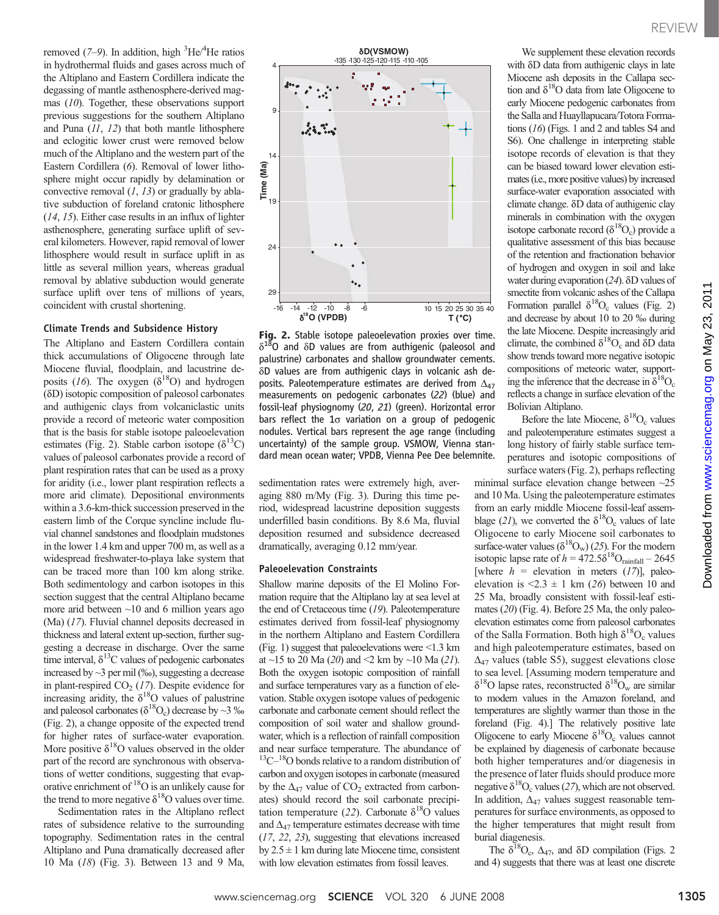removed  $(7-9)$ . In addition, high  ${}^{3}$ He ${}^{/4}$ He ratios in hydrothermal fluids and gases across much of the Altiplano and Eastern Cordillera indicate the degassing of mantle asthenosphere-derived magmas (10). Together, these observations support previous suggestions for the southern Altiplano and Puna (11, 12) that both mantle lithosphere and eclogitic lower crust were removed below much of the Altiplano and the western part of the Eastern Cordillera (6). Removal of lower lithosphere might occur rapidly by delamination or convective removal  $(1, 13)$  or gradually by ablative subduction of foreland cratonic lithosphere (14, 15). Either case results in an influx of lighter asthenosphere, generating surface uplift of several kilometers. However, rapid removal of lower lithosphere would result in surface uplift in as little as several million years, whereas gradual removal by ablative subduction would generate surface uplift over tens of millions of years, coincident with crustal shortening.

## Climate Trends and Subsidence History

The Altiplano and Eastern Cordillera contain thick accumulations of Oligocene through late Miocene fluvial, floodplain, and lacustrine deposits (16). The oxygen ( $\delta^{18}$ O) and hydrogen (dD) isotopic composition of paleosol carbonates and authigenic clays from volcaniclastic units provide a record of meteoric water composition that is the basis for stable isotope paleoelevation estimates (Fig. 2). Stable carbon isotope ( $\delta^{13}$ C) values of paleosol carbonates provide a record of plant respiration rates that can be used as a proxy for aridity (i.e., lower plant respiration reflects a more arid climate). Depositional environments within a 3.6-km-thick succession preserved in the eastern limb of the Corque syncline include fluvial channel sandstones and floodplain mudstones in the lower 1.4 km and upper 700 m, as well as a widespread freshwater-to-playa lake system that can be traced more than 100 km along strike. Both sedimentology and carbon isotopes in this section suggest that the central Altiplano became more arid between  $~10$  and 6 million years ago (Ma) (17). Fluvial channel deposits decreased in thickness and lateral extent up-section, further suggesting a decrease in discharge. Over the same time interval,  $\delta^{13}$ C values of pedogenic carbonates increased by ~3 per mil (‰), suggesting a decrease in plant-respired  $CO<sub>2</sub>$  (17). Despite evidence for increasing aridity, the  $\delta^{18}O$  values of palustrine and paleosol carbonates ( $\delta^{18}O_c$ ) decrease by ~3 ‰ (Fig. 2), a change opposite of the expected trend for higher rates of surface-water evaporation. More positive  $\delta^{18}O$  values observed in the older part of the record are synchronous with observations of wetter conditions, suggesting that evaporative enrichment of  $^{18}O$  is an unlikely cause for the trend to more negative  $\delta^{18}$ O values over time.

Sedimentation rates in the Altiplano reflect rates of subsidence relative to the surrounding topography. Sedimentation rates in the central Altiplano and Puna dramatically decreased after 10 Ma (18) (Fig. 3). Between 13 and 9 Ma,



**Fig. 2.** Stable isotope paleoelevation proxies over time.<br> $\delta^{18}$ O and  $\delta$ D values are from authigenic (paleosol and palustrine) carbonates and shallow groundwater cements.  $\delta$ D values are from authigenic clays in volcanic ash deposits. Paleotemperature estimates are derived from  $\Delta_{47}$ measurements on pedogenic carbonates (22) (blue) and fossil-leaf physiognomy (20, 21) (green). Horizontal error bars reflect the  $1\sigma$  variation on a group of pedogenic nodules. Vertical bars represent the age range (including uncertainty) of the sample group. VSMOW, Vienna standard mean ocean water; VPDB, Vienna Pee Dee belemnite.

sedimentation rates were extremely high, averaging 880 m/My (Fig. 3). During this time period, widespread lacustrine deposition suggests underfilled basin conditions. By 8.6 Ma, fluvial deposition resumed and subsidence decreased dramatically, averaging 0.12 mm/year.

#### Paleoelevation Constraints

Shallow marine deposits of the El Molino Formation require that the Altiplano lay at sea level at the end of Cretaceous time (19). Paleotemperature estimates derived from fossil-leaf physiognomy in the northern Altiplano and Eastern Cordillera (Fig. 1) suggest that paleoelevations were <1.3 km at ~15 to 20 Ma (20) and <2 km by ~10 Ma (21). Both the oxygen isotopic composition of rainfall and surface temperatures vary as a function of elevation. Stable oxygen isotope values of pedogenic carbonate and carbonate cement should reflect the composition of soil water and shallow groundwater, which is a reflection of rainfall composition and near surface temperature. The abundance of  $13C-18$ O bonds relative to a random distribution of carbon and oxygen isotopes in carbonate (measured by the  $\Delta_{47}$  value of CO<sub>2</sub> extracted from carbonates) should record the soil carbonate precipitation temperature (22). Carbonate  $\delta^{18}O$  values and  $\Delta_{47}$  temperature estimates decrease with time (17, 22, 23), suggesting that elevations increased by  $2.5 \pm 1$  km during late Miocene time, consistent with low elevation estimates from fossil leaves.

We supplement these elevation records with  $\delta$ D data from authigenic clays in late Miocene ash deposits in the Callapa section and  $\delta^{18}$ O data from late Oligocene to early Miocene pedogenic carbonates from the Salla and Huayllapucara/Totora Formations (16) (Figs. 1 and 2 and tables S4 and S6). One challenge in interpreting stable isotope records of elevation is that they can be biased toward lower elevation estimates (i.e., more positive values) by increased surface-water evaporation associated with climate change. δD data of authigenic clay minerals in combination with the oxygen isotope carbonate record  $(\delta^{18}O_c)$  provide a qualitative assessment of this bias because of the retention and fractionation behavior of hydrogen and oxygen in soil and lake water during evaporation  $(24)$ .  $\delta$ D values of smectite from volcanic ashes of the Callapa Formation parallel  $\delta^{18}O_c$  values (Fig. 2) and decrease by about 10 to 20 ‰ during the late Miocene. Despite increasingly arid climate, the combined  $\delta^{18}O_c$  and  $\delta D$  data show trends toward more negative isotopic compositions of meteoric water, supporting the inference that the decrease in  $\delta^{18}O_c$ reflects a change in surface elevation of the Bolivian Altiplano.

Before the late Miocene,  $\delta^{18}O_c$  values and paleotemperature estimates suggest a long history of fairly stable surface temperatures and isotopic compositions of surface waters (Fig. 2), perhaps reflecting

minimal surface elevation change between ~25 and 10 Ma. Using the paleotemperature estimates from an early middle Miocene fossil-leaf assemblage (21), we converted the  $\delta^{18}O_c$  values of late Oligocene to early Miocene soil carbonates to surface-water values ( $\delta^{18}O_{\rm w}$ ) (25). For the modern isotopic lapse rate of  $h = 472.5\delta^{18}O_{\text{rainfall}} - 2645$ [where  $h =$  elevation in meters (17)], paleoelevation is  $\leq 2.3 \pm 1$  km (26) between 10 and 25 Ma, broadly consistent with fossil-leaf estimates (20) (Fig. 4). Before 25 Ma, the only paleoelevation estimates come from paleosol carbonates of the Salla Formation. Both high  $\delta^{18}O_c$  values and high paleotemperature estimates, based on  $\Delta_{47}$  values (table S5), suggest elevations close to sea level. [Assuming modern temperature and  $\delta^{18}$ O lapse rates, reconstructed  $\delta^{18}$ O<sub>w</sub> are similar to modern values in the Amazon foreland, and temperatures are slightly warmer than those in the foreland (Fig. 4).] The relatively positive late Oligocene to early Miocene  $\delta^{18}O_c$  values cannot be explained by diagenesis of carbonate because both higher temperatures and/or diagenesis in the presence of later fluids should produce more negative  $\delta^{18}O_c$  values (27), which are not observed. In addition,  $\Delta_{47}$  values suggest reasonable temperatures for surface environments, as opposed to the higher temperatures that might result from burial diagenesis.

The  $\delta^{18}O_c$ ,  $\Delta_{47}$ , and  $\delta D$  compilation (Figs. 2) and 4) suggests that there was at least one discrete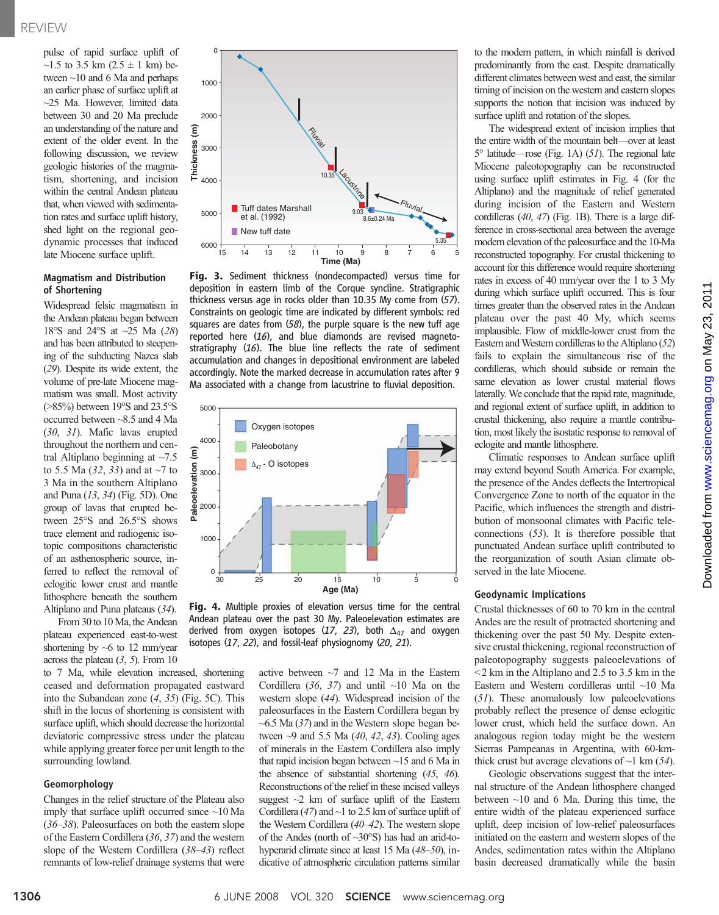pulse of rapid surface uplift of ~1.5 to 3.5 km  $(2.5 \pm 1 \text{ km})$  between ~10 and 6 Ma and perhaps an earlier phase of surface uplift at ~25 Ma. However, limited data between 30 and 20 Ma preclude an understanding of the nature and extent of the older event. In the following discussion, we review geologic histories of the magmatism, shortening, and incision within the central Andean plateau that, when viewed with sedimentation rates and surface uplift history, shed light on the regional geodynamic processes that induced late Miocene surface uplift.

## Magmatism and Distribution of Shortening

Widespread felsic magmatism in the Andean plateau began between 18°S and 24°S at ~25 Ma (28) and has been attributed to steepening of the subducting Nazca slab (29). Despite its wide extent, the volume of pre-late Miocene magmatism was small. Most activity (>85%) between 19°S and 23.5°S occurred between ~8.5 and 4 Ma (30, 31). Mafic lavas erupted throughout the northern and central Altiplano beginning at  $\sim$ 7.5 to 5.5 Ma (32, 33) and at ~7 to 3 Ma in the southern Altiplano and Puna (13, 34) (Fig. 5D). One group of lavas that erupted between 25°S and 26.5°S shows trace element and radiogenic isotopic compositions characteristic of an asthenospheric source, inferred to reflect the removal of eclogitic lower crust and mantle lithosphere beneath the southern Altiplano and Puna plateaus (34).

From 30 to 10 Ma, the Andean plateau experienced east-to-west shortening by  $~6$  to 12 mm/year across the plateau  $(3, 5)$ . From 10

to 7 Ma, while elevation increased, shortening ceased and deformation propagated eastward into the Subandean zone (4, 35) (Fig. 5C). This shift in the locus of shortening is consistent with surface uplift, which should decrease the horizontal deviatoric compressive stress under the plateau while applying greater force per unit length to the surrounding lowland.

#### Geomorphology

Changes in the relief structure of the Plateau also imply that surface uplift occurred since ~10 Ma (36–38). Paleosurfaces on both the eastern slope of the Eastern Cordillera (36, 37) and the western slope of the Western Cordillera (38–43) reflect remnants of low-relief drainage systems that were



Fig. 3. Sediment thickness (nondecompacted) versus time for deposition in eastern limb of the Corque syncline. Stratigraphic thickness versus age in rocks older than 10.35 My come from (57). Constraints on geologic time are indicated by different symbols: red squares are dates from (58), the purple square is the new tuff age reported here (16), and blue diamonds are revised magnetostratigraphy (16). The blue line reflects the rate of sediment accumulation and changes in depositional environment are labeled accordingly. Note the marked decrease in accumulation rates after 9 Ma associated with a change from lacustrine to fluvial deposition.





active between  $\sim$ 7 and 12 Ma in the Eastern Cordillera (36, 37) and until  $\sim$ 10 Ma on the western slope (44). Widespread incision of the paleosurfaces in the Eastern Cordillera began by  $~6.5$  Ma (37) and in the Western slope began between  $\sim$ 9 and 5.5 Ma (40, 42, 43). Cooling ages of minerals in the Eastern Cordillera also imply that rapid incision began between ~15 and 6 Ma in the absence of substantial shortening (45, 46). Reconstructions of the relief in these incised valleys suggest  $\sim$ 2 km of surface uplift of the Eastern Cordillera (47) and  $\sim$ 1 to 2.5 km of surface uplift of the Western Cordillera (40–42). The western slope of the Andes (north of ~30°S) has had an arid-tohyperarid climate since at least 15 Ma (48–50), indicative of atmospheric circulation patterns similar

to the modern pattern, in which rainfall is derived predominantly from the east. Despite dramatically different climates between west and east, the similar timing of incision on the western and eastern slopes supports the notion that incision was induced by surface uplift and rotation of the slopes.

The widespread extent of incision implies that the entire width of the mountain belt—over at least 5° latitude—rose (Fig. 1A) (51). The regional late Miocene paleotopography can be reconstructed using surface uplift estimates in Fig. 4 (for the Altiplano) and the magnitude of relief generated during incision of the Eastern and Western cordilleras (40, 47) (Fig. 1B). There is a large difference in cross-sectional area between the average modern elevation of the paleosurface and the 10-Ma reconstructed topography. For crustal thickening to account for this difference would require shortening rates in excess of 40 mm/year over the 1 to 3 My during which surface uplift occurred. This is four times greater than the observed rates in the Andean plateau over the past 40 My, which seems implausible. Flow of middle-lower crust from the Eastern and Western cordilleras to the Altiplano  $(52)$ fails to explain the simultaneous rise of the cordilleras, which should subside or remain the same elevation as lower crustal material flows laterally.We conclude that the rapid rate, magnitude, and regional extent of surface uplift, in addition to crustal thickening, also require a mantle contribution, most likely the isostatic response to removal of eclogite and mantle lithosphere.

Climatic responses to Andean surface uplift may extend beyond South America. For example, the presence of the Andes deflects the Intertropical Convergence Zone to north of the equator in the Pacific, which influences the strength and distribution of monsoonal climates with Pacific teleconnections (53). It is therefore possible that punctuated Andean surface uplift contributed to the reorganization of south Asian climate observed in the late Miocene.

## Geodynamic Implications

Crustal thicknesses of 60 to 70 km in the central Andes are the result of protracted shortening and thickening over the past 50 My. Despite extensive crustal thickening, regional reconstruction of paleotopography suggests paleoelevations of  $<$  2 km in the Altiplano and 2.5 to 3.5 km in the Eastern and Western cordilleras until ~10 Ma (51). These anomalously low paleoelevations probably reflect the presence of dense eclogitic lower crust, which held the surface down. An analogous region today might be the western Sierras Pampeanas in Argentina, with 60-kmthick crust but average elevations of  $\sim$ 1 km (54).

Geologic observations suggest that the internal structure of the Andean lithosphere changed between  $\sim$ 10 and 6 Ma. During this time, the entire width of the plateau experienced surface uplift, deep incision of low-relief paleosurfaces initiated on the eastern and western slopes of the Andes, sedimentation rates within the Altiplano basin decreased dramatically while the basin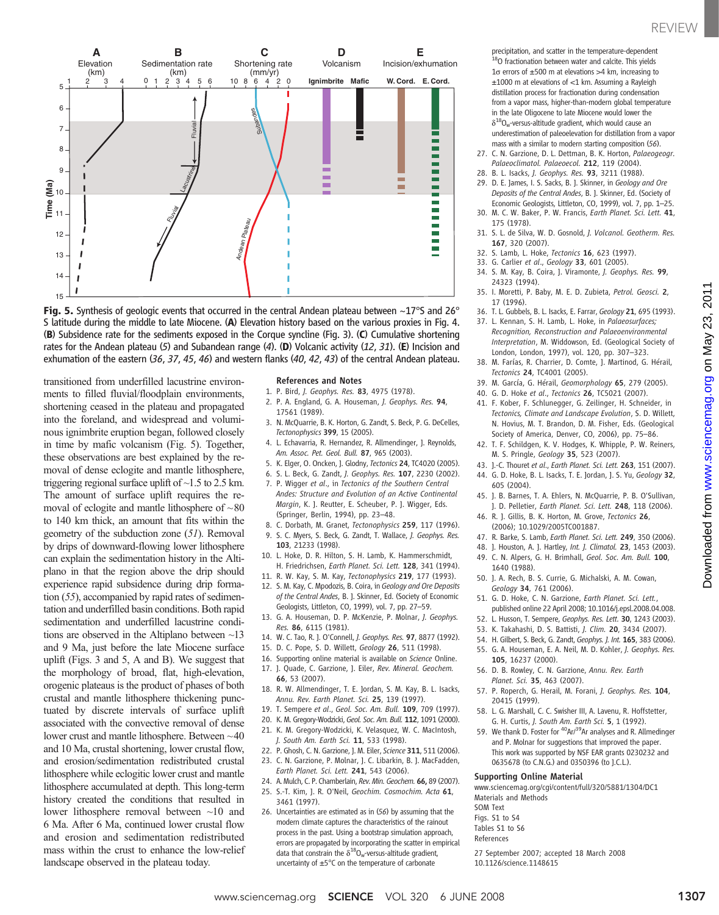

**Fig. 5.** Synthesis of geologic events that occurred in the central Andean plateau between  $\sim$ 17°S and 26° S latitude during the middle to late Miocene. (A) Elevation history based on the various proxies in Fig. 4. (B) Subsidence rate for the sediments exposed in the Corque syncline (Fig. 3). (C) Cumulative shortening rates for the Andean plateau (5) and Subandean range (4). (D) Volcanic activity (12, 31). (E) Incision and exhumation of the eastern (36, 37, 45, 46) and western flanks (40, 42, 43) of the central Andean plateau.

transitioned from underfilled lacustrine environments to filled fluvial/floodplain environments, shortening ceased in the plateau and propagated into the foreland, and widespread and voluminous ignimbrite eruption began, followed closely in time by mafic volcanism (Fig. 5). Together, these observations are best explained by the removal of dense eclogite and mantle lithosphere, triggering regional surface uplift of ~1.5 to 2.5 km. The amount of surface uplift requires the removal of eclogite and mantle lithosphere of  $\sim 80$ to 140 km thick, an amount that fits within the geometry of the subduction zone (51). Removal by drips of downward-flowing lower lithosphere can explain the sedimentation history in the Altiplano in that the region above the drip should experience rapid subsidence during drip formation (55), accompanied by rapid rates of sedimentation and underfilled basin conditions. Both rapid sedimentation and underfilled lacustrine conditions are observed in the Altiplano between ~13 and 9 Ma, just before the late Miocene surface uplift (Figs. 3 and 5, A and B). We suggest that the morphology of broad, flat, high-elevation, orogenic plateaus is the product of phases of both crustal and mantle lithosphere thickening punctuated by discrete intervals of surface uplift associated with the convective removal of dense lower crust and mantle lithosphere. Between  $\sim$  40 and 10 Ma, crustal shortening, lower crustal flow, and erosion/sedimentation redistributed crustal lithosphere while eclogitic lower crust and mantle lithosphere accumulated at depth. This long-term history created the conditions that resulted in lower lithosphere removal between ~10 and 6 Ma. After 6 Ma, continued lower crustal flow and erosion and sedimentation redistributed mass within the crust to enhance the low-relief landscape observed in the plateau today.

#### References and Notes

- 1. P. Bird, J. Geophys. Res. 83, 4975 (1978).
- 2. P. A. England, G. A. Houseman, J. Geophys. Res. 94, 17561 (1989).
- 3. N. McQuarrie, B. K. Horton, G. Zandt, S. Beck, P. G. DeCelles, Tectonophysics 399, 15 (2005).
- 4. L. Echavarria, R. Hernandez, R. Allmendinger, J. Reynolds, Am. Assoc. Pet. Geol. Bull. 87, 965 (2003).
- 5. K. Elger, O. Oncken, J. Glodny, Tectonics 24, TC4020 (2005).
- 6. S. L. Beck, G. Zandt, J. Geophys. Res. 107, 2230 (2002).
- 7. P. Wigger et al., in Tectonics of the Southern Central Andes: Structure and Evolution of an Active Continental Margin, K. J. Reutter, E. Scheuber, P. J. Wigger, Eds. (Springer, Berlin, 1994), pp. 23–48.
- 8. C. Dorbath, M. Granet, Tectonophysics 259, 117 (1996).
- 9. S. C. Myers, S. Beck, G. Zandt, T. Wallace, J. Geophys. Res. 103, 21233 (1998).
- 10. L. Hoke, D. R. Hilton, S. H. Lamb, K. Hammerschmidt, H. Friedrichsen, Earth Planet. Sci. Lett. 128, 341 (1994).
- 11. R. W. Kay, S. M. Kay, Tectonophysics 219, 177 (1993).
- 12. S. M. Kay, C. Mpodozis, B. Coira, in Geology and Ore Deposits of the Central Andes, B. J. Skinner, Ed. (Society of Economic Geologists, Littleton, CO, 1999), vol. 7, pp. 27–59.
- 13. G. A. Houseman, D. P. McKenzie, P. Molnar, J. Geophys. Res. 86, 6115 (1981).
- 14. W. C. Tao, R. J. O'Connell, J. Geophys. Res. 97, 8877 (1992).
- 15. D. C. Pope, S. D. Willett, Geology 26, 511 (1998).
- 16. Supporting online material is available on Science Online.
- 17. J. Quade, C. Garzione, J. Eiler, Rev. Mineral. Geochem. 66, 53 (2007).
- R. W. Allmendinger, T. E. Jordan, S. M. Kay, B. L. Isacks, Annu. Rev. Earth Planet. Sci. 25, 139 (1997).
- 19. T. Sempere et al., Geol. Soc. Am. Bull. 109, 709 (1997).
- 20. K. M. Gregory-Wodzicki, Geol. Soc. Am. Bull. 112, 1091 (2000).
- 21. K. M. Gregory-Wodzicki, K. Velasquez, W. C. MacIntosh, J. South Am. Earth Sci. 11, 533 (1998).
- 22. P. Ghosh, C. N. Garzione, J. M. Eiler, Science 311, 511 (2006).
- 23. C. N. Garzione, P. Molnar, J. C. Libarkin, B. J. MacFadden, Earth Planet. Sci. Lett. 241, 543 (2006).
- 24. A. Mulch, C. P. Chamberlain, Rev. Min. Geochem. 66, 89 (2007).
- 25. S.-T. Kim, J. R. O'Neil, Geochim. Cosmochim. Acta 61, 3461 (1997).
- 26. Uncertainties are estimated as in (56) by assuming that the modern climate captures the characteristics of the rainout process in the past. Using a bootstrap simulation approach, errors are propagated by incorporating the scatter in empirical data that constrain the  $\delta^{18}O_{w}$ -versus-altitude gradient, uncertainty of ±5°C on the temperature of carbonate

precipitation, and scatter in the temperature-dependent <sup>18</sup>O fractionation between water and calcite. This vields  $1\sigma$  errors of  $\pm 500$  m at elevations  $>4$  km, increasing to ±1000 m at elevations of <1 km. Assuming a Rayleigh distillation process for fractionation during condensation from a vapor mass, higher-than-modern global temperature in the late Oligocene to late Miocene would lower the  $\delta^{18}O_{\rm w}$ -versus-altitude gradient, which would cause an underestimation of paleoelevation for distillation from a vapor mass with a similar to modern starting composition (56).

- 27. C. N. Garzione, D. L. Dettman, B. K. Horton, Palaeogeogr. Palaeoclimatol. Palaeoecol. 212, 119 (2004).
- 28. B. L. Isacks, J. Geophys. Res. 93, 3211 (1988).
- 29. D. E. James, I. S. Sacks, B. J. Skinner, in Geology and Ore Deposits of the Central Andes, B. J. Skinner, Ed. (Society of Economic Geologists, Littleton, CO, 1999), vol. 7, pp. 1–25.
- 30. M. C. W. Baker, P. W. Francis, Earth Planet. Sci. Lett. 41, 175 (1978).
- 31. S. L. de Silva, W. D. Gosnold, J. Volcanol. Geotherm. Res. 167, 320 (2007).
- 32. S. Lamb, L. Hoke, Tectonics 16, 623 (1997).
- 33. G. Carlier et al., Geology 33, 601 (2005). 34. S. M. Kay, B. Coira, J. Viramonte, J. Geophys. Res. 99,
- 24323 (1994).
- 35. I. Moretti, P. Baby, M. E. D. Zubieta, Petrol. Geosci. 2, 17 (1996).
- 36. T. L. Gubbels, B. L. Isacks, E. Farrar, Geology 21, 695 (1993). 37. L. Kennan, S. H. Lamb, L. Hoke, in Palaeosurfaces; Recognition, Reconstruction and Palaeoenvironmental
- Interpretation, M. Widdowson, Ed. (Geological Society of London, London, 1997), vol. 120, pp. 307–323. 38. M. Farías, R. Charrier, D. Comte, J. Martinod, G. Hérail,
- Tectonics 24, TC4001 (2005).
- 39. M. García, G. Hérail, Geomorphology 65, 279 (2005).
- 40. G. D. Hoke et al., Tectonics 26, TC5021 (2007).
- 41. F. Kober, F. Schlunegger, G. Zeilinger, H. Schneider, in Tectonics, Climate and Landscape Evolution, S. D. Willett, N. Hovius, M. T. Brandon, D. M. Fisher, Eds. (Geological Society of America, Denver, CO, 2006), pp. 75–86.
- 42. T. F. Schildgen, K. V. Hodges, K. Whipple, P. W. Reiners, M. S. Pringle, Geology 35, 523 (2007).
- 43. J.-C. Thouret et al., Earth Planet. Sci. Lett. 263, 151 (2007). 44. G. D. Hoke, B. L. Isacks, T. E. Jordan, J. S. Yu, Geology 32,
- 605 (2004).
- 45. J. B. Barnes, T. A. Ehlers, N. McQuarrie, P. B. O'Sullivan, J. D. Pelletier, Earth Planet. Sci. Lett. 248, 118 (2006).
- 46. R. J. Gillis, B. K. Horton, M. Grove, Tectonics 26, (2006); 10.1029/2005TC001887.
- 47. R. Barke, S. Lamb, Earth Planet. Sci. Lett. 249, 350 (2006).
- 48. J. Houston, A. J. Hartley, Int. J. Climatol. 23, 1453 (2003).
- 49. C. N. Alpers, G. H. Brimhall, Geol. Soc. Am. Bull. 100,
- 1640 (1988). 50. J. A. Rech, B. S. Currie, G. Michalski, A. M. Cowan, Geology 34, 761 (2006).
- 51. G. D. Hoke, C. N. Garzione, Earth Planet. Sci. Lett., published online 22 April 2008; 10.1016/j.epsl.2008.04.008.
- 52. L. Husson, T. Sempere, Geophys. Res. Lett. 30, 1243 (2003).
- 53. K. Takahashi, D. S. Battisti, J. Clim. 20, 3434 (2007).
- 54. H. Gilbert, S. Beck, G. Zandt, Geophys. J. Int. 165, 383 (2006).
- 55. G. A. Houseman, E. A. Neil, M. D. Kohler, J. Geophys. Res. 105, 16237 (2000).
- 56. D. B. Rowley, C. N. Garzione, Annu. Rev. Earth Planet. Sci. 35, 463 (2007).
- 57. P. Roperch, G. Herail, M. Forani, J. Geophys. Res. 104, 20415 (1999).
- 58. L. G. Marshall, C. C. Swisher III, A. Lavenu, R. Hoffstetter, G. H. Curtis, J. South Am. Earth Sci. 5, 1 (1992).
- 59. We thank D. Foster for <sup>40</sup>Ar/<sup>39</sup>Ar analyses and R. Allmedinger and P. Molnar for suggestions that improved the paper. This work was supported by NSF EAR grants 0230232 and 0635678 (to C.N.G.) and 0350396 (to J.C.L.).

#### Supporting Online Material

www.sciencemag.org/cgi/content/full/320/5881/1304/DC1 Materials and Methods

- SOM Text Figs. S1 to S4
- Tables S1 to S6
- References

27 September 2007; accepted 18 March 2008 10.1126/science.1148615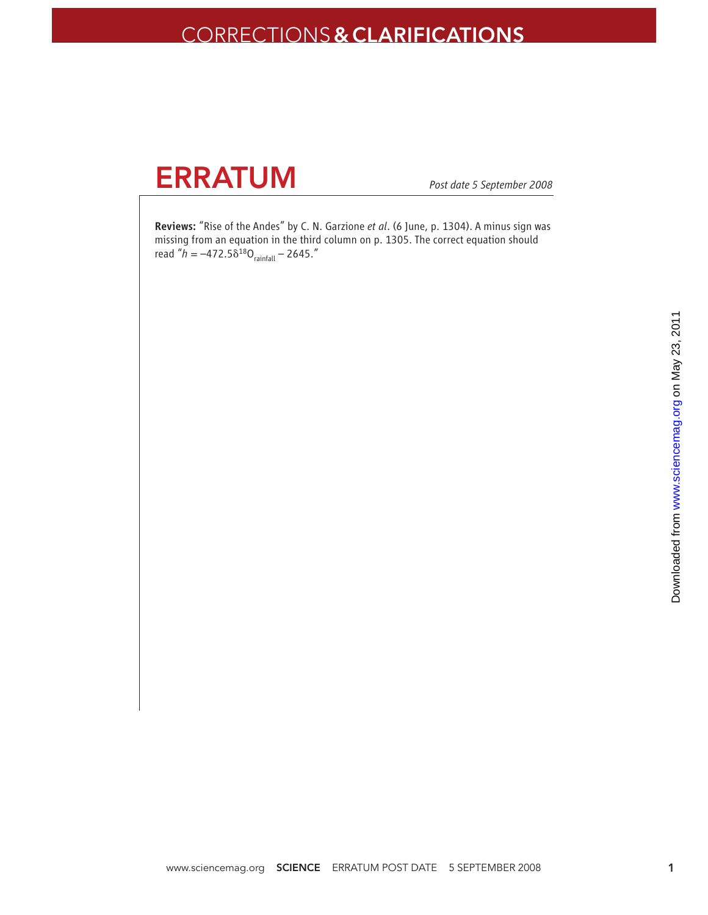# CORRECTIONS**& CLARIFICATIONS**

# **ERRATUM**

*Post date 5 September 2008*

Reviews: "Rise of the Andes" by C. N. Garzione *et al*. (6 June, p. 1304). A minus sign was missing from an equation in the third column on p. 1305. The correct equation should read " $h = -472.5\delta^{18}O_{\text{rainfall}} - 2645."$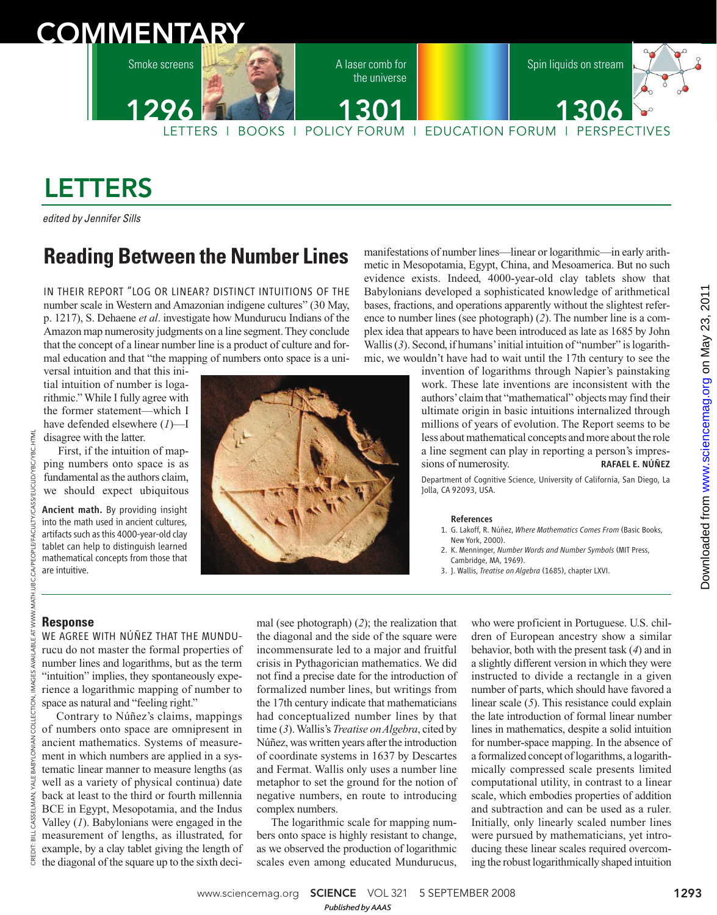# **COMMENTARY**

Smoke screens

1296

A laser comb for the universe





LETTERS I BOOKS I POLICY FORUM I EDUCATION FORUM I PERSPECTIVES 1301 1306

# LETTERS

edited by Jennifer Sills

# **Reading Between the Number Lines**

IN THEIR REPORT "LOG OR LINEAR? DISTINCT INTUITIONS OF THE number scale in Western and Amazonian indigene cultures" (30 May, p. 1217), S. Dehaene *et al*. investigate how Mundurucu Indians of the Amazon map numerosity judgments on a line segment. They conclude that the concept of a linear number line is a product of culture and formal education and that "the mapping of numbers onto space is a uni-

versal intuition and that this initial intuition of number is logarithmic." While I fully agree with the former statement—which I have defended elsewhere (*1*)—I disagree with the latter.

First, if the intuition of mapping numbers onto space is as fundamental as the authors claim, we should expect ubiquitous

Ancient math. By providing insight into the math used in ancient cultures, artifacts such as this 4000-year-old clay tablet can help to distinguish learned mathematical concepts from those that are intuitive.



manifestations of number lines—linear or logarithmic—in early arithmetic in Mesopotamia, Egypt, China, and Mesoamerica. But no such evidence exists. Indeed, 4000-year-old clay tablets show that Babylonians developed a sophisticated knowledge of arithmetical bases, fractions, and operations apparently without the slightest reference to number lines (see photograph) (*2*). The number line is a complex idea that appears to have been introduced as late as 1685 by John Wallis (3). Second, if humans' initial intuition of "number" is logarithmic, we wouldn't have had to wait until the 17th century to see the

> invention of logarithms through Napier's painstaking work. These late inventions are inconsistent with the authors'claim that "mathematical" objects may find their ultimate origin in basic intuitions internalized through millions of years of evolution. The Report seems to be less about mathematical concepts and more about the role a line segment can play in reporting a person's impressions of numerosity. RAFAEL E. NÚÑEZ

> Department of Cognitive Science, University of California, San Diego, La Jolla, CA 92093, USA.

#### References

- 1. G. Lakoff, R. Núñez, *Where Mathematics Comes From* (Basic Books, New York, 2000).
- 2. K. Menninger, *Number Words and Number Symbols* (MIT Press, Cambridge, MA, 1969).
- 3. J. Wallis, *Treatise on Algebra* (1685), chapter LXVI.

# **Response**

CREDIT: BILL CASSELMAN, YALE BABYLONIAN COLLECTION, IMAGES AVAILABLE AT WWW.MATH.UBC.CA/PEOPLE/FACULTY/CASS/EUCLID/YBC/YBC.HTML LE/FACULTY/CASS/EUCLID/YBC/YBC S **LIOC E BABYLONIAN** Ä **CASSELMAN** CREDIT

HTML

WE AGREE WITH NÚÑEZ THAT THE MUNDUrucu do not master the formal properties of number lines and logarithms, but as the term "intuition" implies, they spontaneously experience a logarithmic mapping of number to space as natural and "feeling right."

Contrary to Núñez's claims, mappings of numbers onto space are omnipresent in ancient mathematics. Systems of measurement in which numbers are applied in a systematic linear manner to measure lengths (as well as a variety of physical continua) date back at least to the third or fourth millennia BCE in Egypt, Mesopotamia, and the Indus Valley (*1*). Babylonians were engaged in the measurement of lengths, as illustrated, for example, by a clay tablet giving the length of the diagonal of the square up to the sixth deci-

mal (see photograph) (*2*); the realization that the diagonal and the side of the square were incommensurate led to a major and fruitful crisis in Pythagorician mathematics. We did not find a precise date for the introduction of formalized number lines, but writings from the 17th century indicate that mathematicians had conceptualized number lines by that time (*3*). Wallis's *Treatise on Algebra*, cited by Núñez, was written years after the introduction of coordinate systems in 1637 by Descartes and Fermat. Wallis only uses a number line metaphor to set the ground for the notion of negative numbers, en route to introducing complex numbers.

The logarithmic scale for mapping numbers onto space is highly resistant to change, as we observed the production of logarithmic scales even among educated Mundurucus,

who were proficient in Portuguese. U.S. children of European ancestry show a similar behavior, both with the present task (*4*) and in a slightly different version in which they were instructed to divide a rectangle in a given number of parts, which should have favored a linear scale (*5*). This resistance could explain the late introduction of formal linear number lines in mathematics, despite a solid intuition for number-space mapping. In the absence of a formalized concept of logarithms, a logarithmically compressed scale presents limited computational utility, in contrast to a linear scale, which embodies properties of addition and subtraction and can be used as a ruler. Initially, only linearly scaled number lines were pursued by mathematicians, yet introducing these linear scales required overcoming the robust logarithmically shaped intuition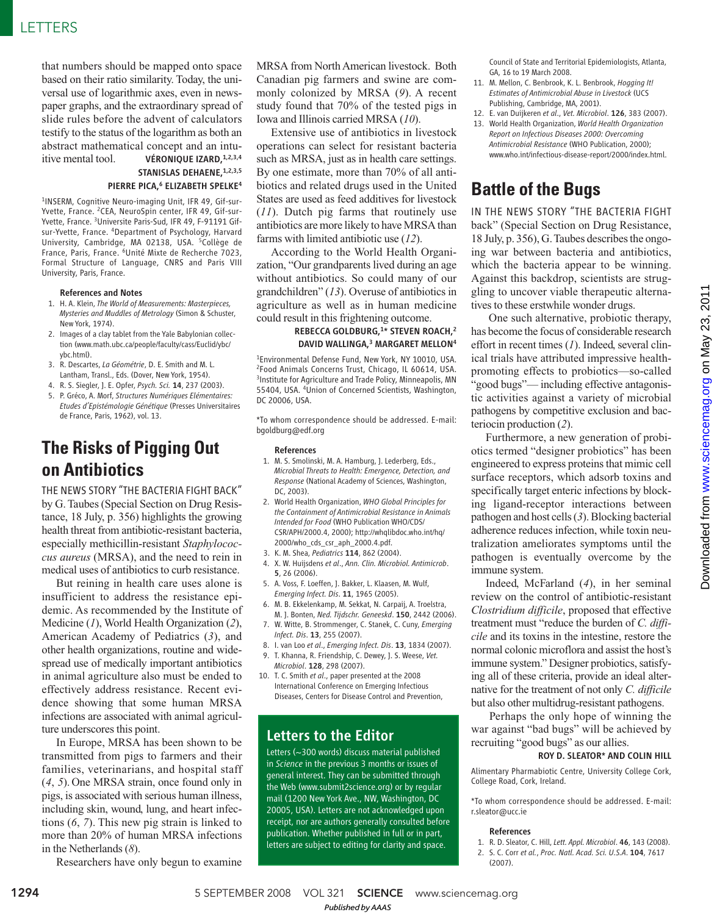that numbers should be mapped onto space based on their ratio similarity. Today, the universal use of logarithmic axes, even in newspaper graphs, and the extraordinary spread of slide rules before the advent of calculators testify to the status of the logarithm as both an abstract mathematical concept and an intuitive mental tool. **VÉRONIQUE IZARD**,  $1,2,3,4$ 

STANISLAS DEHAENE, 1,2,3,5 PIERRE PICA.<sup>6</sup> ELIZABETH SPELKE<sup>4</sup>

1 INSERM, Cognitive Neuro-imaging Unit, IFR 49, Gif-sur-Yvette, France. 2CEA, NeuroSpin center, IFR 49, Gif-sur-Yvette, France. 3Universite Paris-Sud, IFR 49, F-91191 Gifsur-Yvette, France. <sup>4</sup>Department of Psychology, Harvard University, Cambridge, MA 02138, USA. <sup>5</sup>Collège de France, Paris, France. <sup>6</sup>Unité Mixte de Recherche 7023, Formal Structure of Language, CNRS and Paris VIII University, Paris, France.

#### References and Notes

- 1. H. A. Klein, *The World of Measurements: Masterpieces, Mysteries and Muddles of Metrology* (Simon & Schuster, New York, 1974).
- 2. Images of a clay tablet from the Yale Babylonian collection (www.math.ubc.ca/people/faculty/cass/Euclid/ybc/ ybc.html).
- 3. R. Descartes, *La Géométrie*, D. E. Smith and M. L. Lantham, Transl., Eds. (Dover, New York, 1954).
- 4. R. S. Siegler, J. E. Opfer, *Psych. Sci.* 14, 237 (2003).
- 5. P. Gréco, A. Morf, *Structures Numériques Elémentaires: Etudes d'Epistémologie Génétique* (Presses Universitaires de France, Paris, 1962), vol. 13.

# **The Risks of Pigging Out on Antibiotics**

THE NEWS STORY "THE BACTERIA FIGHT BACK" by G. Taubes (Special Section on Drug Resistance, 18 July, p. 356) highlights the growing health threat from antibiotic-resistant bacteria, especially methicillin-resistant *Staphylococcus aureus* (MRSA), and the need to rein in medical uses of antibiotics to curb resistance.

But reining in health care uses alone is insufficient to address the resistance epidemic. As recommended by the Institute of Medicine (*1*), World Health Organization (*2*), American Academy of Pediatrics (*3*), and other health organizations, routine and widespread use of medically important antibiotics in animal agriculture also must be ended to effectively address resistance. Recent evidence showing that some human MRSA infections are associated with animal agriculture underscores this point.

In Europe, MRSA has been shown to be transmitted from pigs to farmers and their families, veterinarians, and hospital staff (*4*, *5*). One MRSA strain, once found only in pigs, is associated with serious human illness, including skin, wound, lung, and heart infections (*6*, *7*). This new pig strain is linked to more than 20% of human MRSA infections in the Netherlands (*8*).

Researchers have only begun to examine

MRSA from North American livestock. Both Canadian pig farmers and swine are commonly colonized by MRSA (*9*). A recent study found that 70% of the tested pigs in Iowa and Illinois carried MRSA (*10*).

Extensive use of antibiotics in livestock operations can select for resistant bacteria such as MRSA, just as in health care settings. By one estimate, more than 70% of all antibiotics and related drugs used in the United States are used as feed additives for livestock (*11*). Dutch pig farms that routinely use antibiotics are more likely to have MRSA than farms with limited antibiotic use (*12*).

According to the World Health Organization, "Our grandparents lived during an age without antibiotics. So could many of our grandchildren" (*13*). Overuse of antibiotics in agriculture as well as in human medicine could result in this frightening outcome.

## REBECCA GOLDBURG,<sup>1</sup> \* STEVEN ROACH,<sup>2</sup> DAVID WALLINGA,<sup>3</sup> MARGARET MELLON<sup>4</sup>

<sup>1</sup>Environmental Defense Fund, New York, NY 10010, USA. 2 Food Animals Concerns Trust, Chicago, IL 60614, USA. <sup>3</sup>Institute for Agriculture and Trade Policy, Minneapolis, MN 55404, USA. <sup>4</sup>Union of Concerned Scientists, Washington, DC 20006, USA.

\*To whom correspondence should be addressed. E-mail: bgoldburg@edf.org

#### References

- 1. M. S. Smolinski, M. A. Hamburg, J. Lederberg, Eds., *Microbial Threats to Health: Emergence, Detection, and Response* (National Academy of Sciences, Washington, DC, 2003).
- 2. World Health Organization, *WHO Global Principles for the Containment of Antimicrobial Resistance in Animals Intended for Food* (WHO Publication WHO/CDS/ CSR/APH/2000.4, 2000); http://whqlibdoc.who.int/hq/ 2000/who\_cds\_csr\_aph\_2000.4.pdf.
- 3. K. M. Shea, *Pediatrics* 114, 862 (2004).
- 4. X. W. Huijsdens *et al*., *Ann. Clin. Microbiol. Antimicrob*. 5, 26 (2006).
- 5. A. Voss, F. Loeffen, J. Bakker, L. Klaasen, M. Wulf, *Emerging Infect. Dis*. 11, 1965 (2005).
- 6. M. B. Ekkelenkamp, M. Sekkat, N. Carpaij, A. Troelstra, M. J. Bonten, *Ned. Tijdschr. Geneeskd*. 150, 2442 (2006).
- 7. W. Witte, B. Strommenger, C. Stanek, C. Cuny, *Emerging Infect. Dis*. 13, 255 (2007).
- 8. I. van Loo *et al*., *Emerging Infect. Dis*. 13, 1834 (2007). 9. T. Khanna, R. Friendship, C. Dewey, J. S. Weese, *Vet. Microbiol*. 128, 298 (2007).
- 10. T. C. Smith *et al*., paper presented at the 2008 International Conference on Emerging Infectious Diseases, Centers for Disease Control and Prevention,

# Letters to the Editor

Letters (~300 words) discuss material published in *Science* in the previous 3 months or issues of general interest. They can be submitted through the Web (www.submit2science.org) or by regular mail (1200 New York Ave., NW, Washington, DC 20005, USA). Letters are not acknowledged upon receipt, nor are authors generally consulted before publication. Whether published in full or in part, letters are subject to editing for clarity and space.

Council of State and Territorial Epidemiologists, Atlanta, GA, 16 to 19 March 2008.

- 11. M. Mellon, C. Benbrook, K. L. Benbrook, *Hogging It! Estimates of Antimicrobial Abuse in Livestock* (UCS Publishing, Cambridge, MA, 2001).
- 12. E. van Duijkeren *et al*., *Vet. Microbiol*. 126, 383 (2007).
- 13. World Health Organization, *World Health Organization Report on Infectious Diseases 2000: Overcoming Antimicrobial Resistance* (WHO Publication, 2000); www.who.int/infectious-disease-report/2000/index.html.

# **Battle of the Bugs**

IN THE NEWS STORY "THE BACTERIA FIGHT back" (Special Section on Drug Resistance, 18 July, p. 356), G. Taubes describes the ongoing war between bacteria and antibiotics, which the bacteria appear to be winning. Against this backdrop, scientists are struggling to uncover viable therapeutic alternatives to these erstwhile wonder drugs.

One such alternative, probiotic therapy, has become the focus of considerable research effort in recent times (*1*). Indeed, several clinical trials have attributed impressive healthpromoting effects to probiotics—so-called "good bugs"— including effective antagonistic activities against a variety of microbial pathogens by competitive exclusion and bacteriocin production (*2*).

Furthermore, a new generation of probiotics termed "designer probiotics" has been engineered to express proteins that mimic cell surface receptors, which adsorb toxins and specifically target enteric infections by blocking ligand-receptor interactions between pathogen and host cells (*3*). Blocking bacterial adherence reduces infection, while toxin neutralization ameliorates symptoms until the pathogen is eventually overcome by the immune system.

Indeed, McFarland (*4*), in her seminal review on the control of antibiotic-resistant *Clostridium difficile*, proposed that effective treatment must "reduce the burden of *C. difficile* and its toxins in the intestine, restore the normal colonic microflora and assist the host's immune system." Designer probiotics, satisfying all of these criteria, provide an ideal alternative for the treatment of not only *C. difficile* but also other multidrug-resistant pathogens.

Perhaps the only hope of winning the war against "bad bugs" will be achieved by recruiting "good bugs" as our allies.

#### ROY D. SLEATOR\* AND COLIN HILL

Alimentary Pharmabiotic Centre, University College Cork, College Road, Cork, Ireland.

\*To whom correspondence should be addressed. E-mail: r.sleator@ucc.ie

#### References

- 1. R. D. Sleator, C. Hill, *Lett. Appl. Microbiol*. 46, 143 (2008).
- 2. S. C. Corr *et al.*, *Proc. Natl. Acad. Sci. U.S.A*. 104, 7617 (2007).

1294 **1294** 5 SEPTEMBER 2008 VOL 321 **SCIENCE** www.sciencemag.org *Published byAAAS*